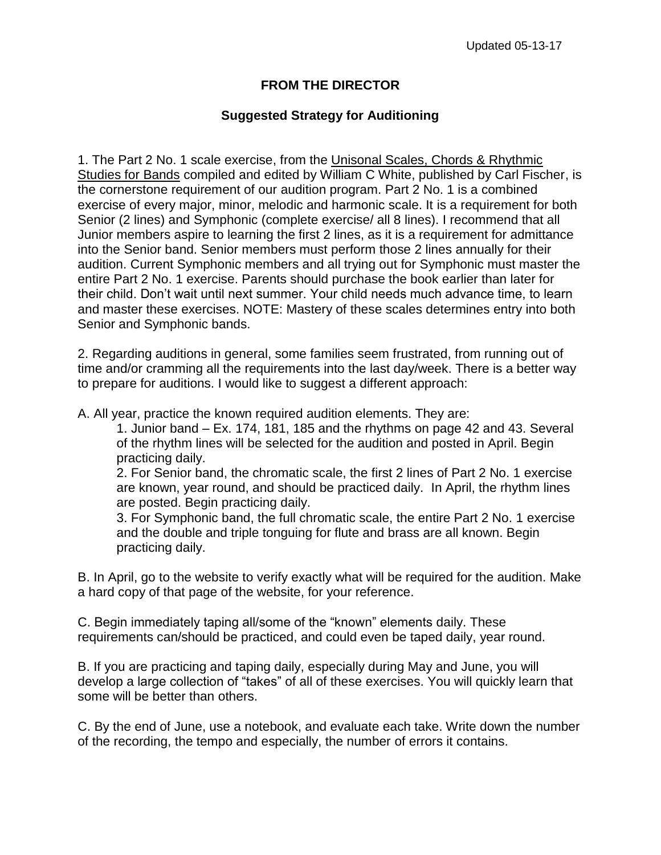## **FROM THE DIRECTOR**

## **Suggested Strategy for Auditioning**

1. The Part 2 No. 1 scale exercise, from the Unisonal Scales, Chords & Rhythmic Studies for Bands compiled and edited by William C White, published by Carl Fischer, is the cornerstone requirement of our audition program. Part 2 No. 1 is a combined exercise of every major, minor, melodic and harmonic scale. It is a requirement for both Senior (2 lines) and Symphonic (complete exercise/ all 8 lines). I recommend that all Junior members aspire to learning the first 2 lines, as it is a requirement for admittance into the Senior band. Senior members must perform those 2 lines annually for their audition. Current Symphonic members and all trying out for Symphonic must master the entire Part 2 No. 1 exercise. Parents should purchase the book earlier than later for their child. Don't wait until next summer. Your child needs much advance time, to learn and master these exercises. NOTE: Mastery of these scales determines entry into both Senior and Symphonic bands.

2. Regarding auditions in general, some families seem frustrated, from running out of time and/or cramming all the requirements into the last day/week. There is a better way to prepare for auditions. I would like to suggest a different approach:

A. All year, practice the known required audition elements. They are:

1. Junior band – Ex. 174, 181, 185 and the rhythms on page 42 and 43. Several of the rhythm lines will be selected for the audition and posted in April. Begin practicing daily.

2. For Senior band, the chromatic scale, the first 2 lines of Part 2 No. 1 exercise are known, year round, and should be practiced daily. In April, the rhythm lines are posted. Begin practicing daily.

3. For Symphonic band, the full chromatic scale, the entire Part 2 No. 1 exercise and the double and triple tonguing for flute and brass are all known. Begin practicing daily.

B. In April, go to the website to verify exactly what will be required for the audition. Make a hard copy of that page of the website, for your reference.

C. Begin immediately taping all/some of the "known" elements daily. These requirements can/should be practiced, and could even be taped daily, year round.

B. If you are practicing and taping daily, especially during May and June, you will develop a large collection of "takes" of all of these exercises. You will quickly learn that some will be better than others.

C. By the end of June, use a notebook, and evaluate each take. Write down the number of the recording, the tempo and especially, the number of errors it contains.